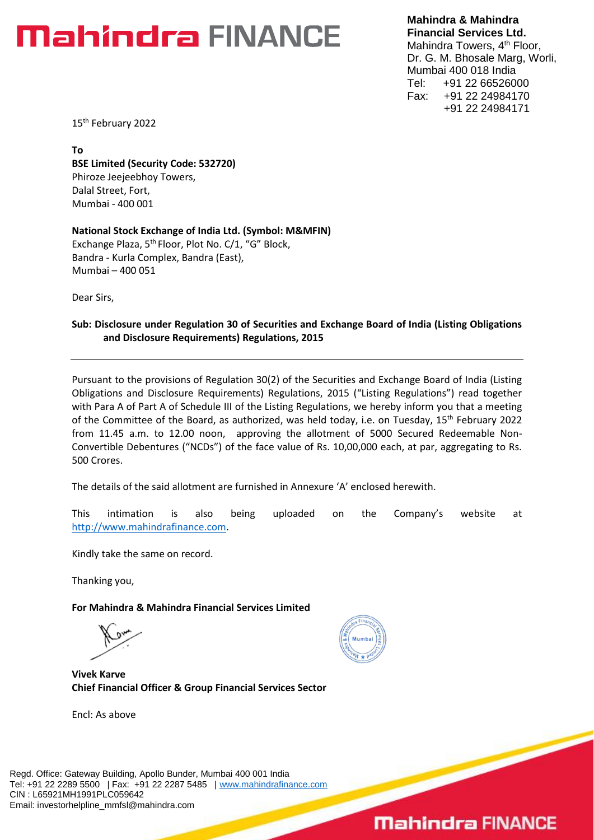### **Mahindra FINANCE**

**Mahindra & Mahindra Financial Services Ltd.** Mahindra Towers, 4<sup>th</sup> Floor, Dr. G. M. Bhosale Marg, Worli, Mumbai 400 018 India Tel: +91 22 66526000 Fax: +91 22 24984170 +91 22 24984171

15<sup>th</sup> February 2022

**To BSE Limited (Security Code: 532720)** Phiroze Jeejeebhoy Towers, Dalal Street, Fort, Mumbai - 400 001

**National Stock Exchange of India Ltd. (Symbol: M&MFIN)** Exchange Plaza, 5<sup>th</sup> Floor, Plot No. C/1, "G" Block, Bandra - Kurla Complex, Bandra (East), Mumbai – 400 051

Dear Sirs,

#### **Sub: Disclosure under Regulation 30 of Securities and Exchange Board of India (Listing Obligations and Disclosure Requirements) Regulations, 2015**

Pursuant to the provisions of Regulation 30(2) of the Securities and Exchange Board of India (Listing Obligations and Disclosure Requirements) Regulations, 2015 ("Listing Regulations") read together with Para A of Part A of Schedule III of the Listing Regulations, we hereby inform you that a meeting of the Committee of the Board, as authorized, was held today, i.e. on Tuesday, 15<sup>th</sup> February 2022 from 11.45 a.m. to 12.00 noon, approving the allotment of 5000 Secured Redeemable Non-Convertible Debentures ("NCDs") of the face value of Rs. 10,00,000 each, at par, aggregating to Rs. 500 Crores.

The details of the said allotment are furnished in Annexure 'A' enclosed herewith.

This intimation is also being uploaded on the Company's website at [http://www.mahindrafinance.com.](http://www.mahindrafinance.com/)

Kindly take the same on record.

Thanking you,

**For Mahindra & Mahindra Financial Services Limited**

**Vivek Karve Chief Financial Officer & Group Financial Services Sector**

Encl: As above



### **Mahinclra FINANCE**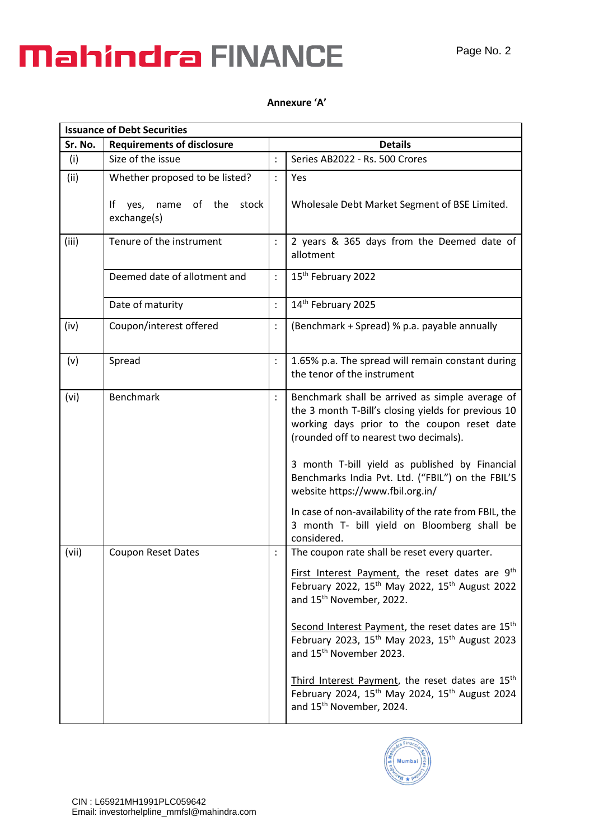# **Mahindra FINANCE**

Ē

### **Annexure 'A'**

| <b>Issuance of Debt Securities</b> |                                                                                   |                |                                                                                                                                                                                                                                                                                                                                                                                                                                                                                                                                                                                                    |  |  |
|------------------------------------|-----------------------------------------------------------------------------------|----------------|----------------------------------------------------------------------------------------------------------------------------------------------------------------------------------------------------------------------------------------------------------------------------------------------------------------------------------------------------------------------------------------------------------------------------------------------------------------------------------------------------------------------------------------------------------------------------------------------------|--|--|
| Sr. No.                            | <b>Requirements of disclosure</b>                                                 |                | <b>Details</b>                                                                                                                                                                                                                                                                                                                                                                                                                                                                                                                                                                                     |  |  |
| (i)                                | Size of the issue                                                                 | $\ddot{\cdot}$ | Series AB2022 - Rs. 500 Crores                                                                                                                                                                                                                                                                                                                                                                                                                                                                                                                                                                     |  |  |
| (ii)                               | Whether proposed to be listed?<br>yes, name of the<br>stock<br>lt.<br>exchange(s) | $\ddot{\cdot}$ | Yes<br>Wholesale Debt Market Segment of BSE Limited.                                                                                                                                                                                                                                                                                                                                                                                                                                                                                                                                               |  |  |
| (iii)                              | Tenure of the instrument                                                          |                | 2 years & 365 days from the Deemed date of<br>allotment                                                                                                                                                                                                                                                                                                                                                                                                                                                                                                                                            |  |  |
|                                    | Deemed date of allotment and                                                      |                | 15 <sup>th</sup> February 2022                                                                                                                                                                                                                                                                                                                                                                                                                                                                                                                                                                     |  |  |
|                                    | Date of maturity                                                                  | $\ddot{\cdot}$ | 14th February 2025                                                                                                                                                                                                                                                                                                                                                                                                                                                                                                                                                                                 |  |  |
| (iv)                               | Coupon/interest offered                                                           |                | (Benchmark + Spread) % p.a. payable annually                                                                                                                                                                                                                                                                                                                                                                                                                                                                                                                                                       |  |  |
| (v)                                | Spread                                                                            | $\ddot{\cdot}$ | 1.65% p.a. The spread will remain constant during<br>the tenor of the instrument                                                                                                                                                                                                                                                                                                                                                                                                                                                                                                                   |  |  |
| (vi)                               | <b>Benchmark</b>                                                                  |                | Benchmark shall be arrived as simple average of<br>the 3 month T-Bill's closing yields for previous 10<br>working days prior to the coupon reset date<br>(rounded off to nearest two decimals).<br>3 month T-bill yield as published by Financial<br>Benchmarks India Pvt. Ltd. ("FBIL") on the FBIL'S<br>website https://www.fbil.org.in/<br>In case of non-availability of the rate from FBIL, the<br>3 month T- bill yield on Bloomberg shall be<br>considered.                                                                                                                                 |  |  |
| (vii)                              | Coupon Reset Dates                                                                |                | The coupon rate shall be reset every quarter.<br>First Interest Payment, the reset dates are 9 <sup>th</sup><br>February 2022, 15 <sup>th</sup> May 2022, 15 <sup>th</sup> August 2022<br>and 15 <sup>th</sup> November, 2022.<br>Second Interest Payment, the reset dates are 15 <sup>th</sup><br>February 2023, 15 <sup>th</sup> May 2023, 15 <sup>th</sup> August 2023<br>and 15 <sup>th</sup> November 2023.<br>Third Interest Payment, the reset dates are 15 <sup>th</sup><br>February 2024, 15 <sup>th</sup> May 2024, 15 <sup>th</sup> August 2024<br>and 15 <sup>th</sup> November, 2024. |  |  |